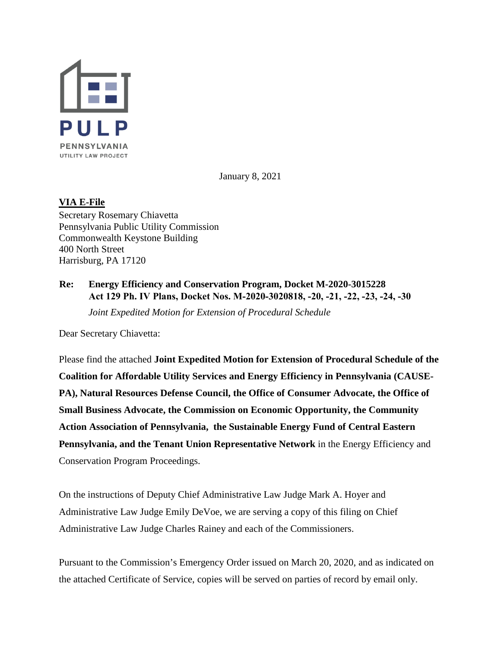

January 8, 2021

## **VIA E-File**

Secretary Rosemary Chiavetta Pennsylvania Public Utility Commission Commonwealth Keystone Building 400 North Street Harrisburg, PA 17120

## **Re: Energy Efficiency and Conservation Program, Docket M-2020-3015228 Act 129 Ph. IV Plans, Docket Nos. M-2020-3020818, -20, -21, -22, -23, -24, -30**

*Joint Expedited Motion for Extension of Procedural Schedule* 

Dear Secretary Chiavetta:

Please find the attached **Joint Expedited Motion for Extension of Procedural Schedule of the Coalition for Affordable Utility Services and Energy Efficiency in Pennsylvania (CAUSE-PA), Natural Resources Defense Council, the Office of Consumer Advocate, the Office of Small Business Advocate, the Commission on Economic Opportunity, the Community Action Association of Pennsylvania, the Sustainable Energy Fund of Central Eastern Pennsylvania, and the Tenant Union Representative Network** in the Energy Efficiency and Conservation Program Proceedings.

On the instructions of Deputy Chief Administrative Law Judge Mark A. Hoyer and Administrative Law Judge Emily DeVoe, we are serving a copy of this filing on Chief Administrative Law Judge Charles Rainey and each of the Commissioners.

Pursuant to the Commission's Emergency Order issued on March 20, 2020, and as indicated on the attached Certificate of Service, copies will be served on parties of record by email only.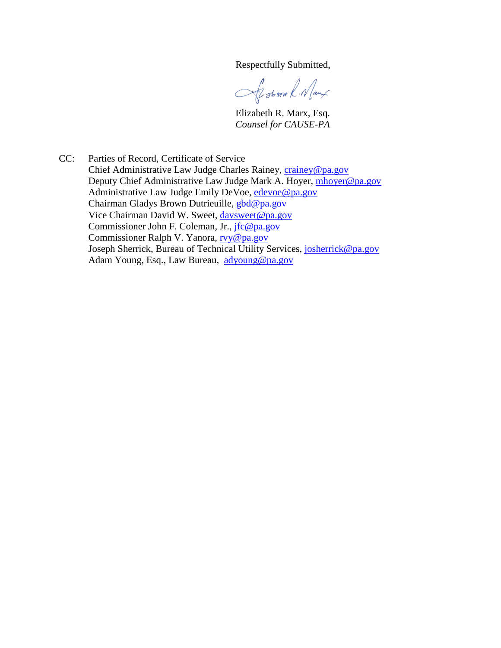Respectfully Submitted,

Sistem R. Naux

Elizabeth R. Marx, Esq.  *Counsel for CAUSE-PA*

CC: Parties of Record, Certificate of Service Chief Administrative Law Judge Charles Rainey, crainey@pa.gov Deputy Chief Administrative Law Judge Mark A. Hoyer, mhoyer@pa.gov Administrative Law Judge Emily DeVoe, edevoe@pa.gov Chairman Gladys Brown Dutrieuille, gbd@pa.gov Vice Chairman David W. Sweet, davsweet@pa.gov Commissioner John F. Coleman, Jr., *jfc@pa.gov*  Commissioner Ralph V. Yanora, rvy@pa.gov Joseph Sherrick, Bureau of Technical Utility Services, josherrick@pa.gov Adam Young, Esq., Law Bureau, adyoung@pa.gov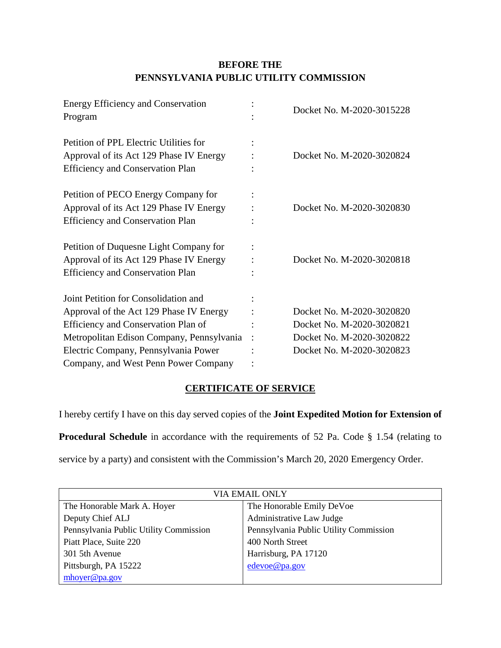## **BEFORE THE PENNSYLVANIA PUBLIC UTILITY COMMISSION**

| <b>Energy Efficiency and Conservation</b><br>Program                                                                                                                                                                                                | Docket No. M-2020-3015228                                                                                        |
|-----------------------------------------------------------------------------------------------------------------------------------------------------------------------------------------------------------------------------------------------------|------------------------------------------------------------------------------------------------------------------|
| Petition of PPL Electric Utilities for<br>Approval of its Act 129 Phase IV Energy<br><b>Efficiency and Conservation Plan</b>                                                                                                                        | Docket No. M-2020-3020824                                                                                        |
| Petition of PECO Energy Company for<br>Approval of its Act 129 Phase IV Energy<br><b>Efficiency and Conservation Plan</b>                                                                                                                           | Docket No. M-2020-3020830                                                                                        |
| Petition of Duquesne Light Company for<br>Approval of its Act 129 Phase IV Energy<br><b>Efficiency and Conservation Plan</b>                                                                                                                        | Docket No. M-2020-3020818                                                                                        |
| Joint Petition for Consolidation and<br>Approval of the Act 129 Phase IV Energy<br>Efficiency and Conservation Plan of<br>Metropolitan Edison Company, Pennsylvania<br>Electric Company, Pennsylvania Power<br>Company, and West Penn Power Company | Docket No. M-2020-3020820<br>Docket No. M-2020-3020821<br>Docket No. M-2020-3020822<br>Docket No. M-2020-3020823 |

# **CERTIFICATE OF SERVICE**

I hereby certify I have on this day served copies of the **Joint Expedited Motion for Extension of** 

**Procedural Schedule** in accordance with the requirements of 52 Pa. Code § 1.54 (relating to

service by a party) and consistent with the Commission's March 20, 2020 Emergency Order.

| VIA EMAIL ONLY                         |                                        |  |
|----------------------------------------|----------------------------------------|--|
| The Honorable Mark A. Hoyer            | The Honorable Emily DeVoe              |  |
| Deputy Chief ALJ                       | Administrative Law Judge               |  |
| Pennsylvania Public Utility Commission | Pennsylvania Public Utility Commission |  |
| Piatt Place, Suite 220                 | 400 North Street                       |  |
| 301 5th Avenue                         | Harrisburg, PA 17120                   |  |
| Pittsburgh, PA 15222                   | edevoe@pa.gov                          |  |
| mhoyer@pa.gov                          |                                        |  |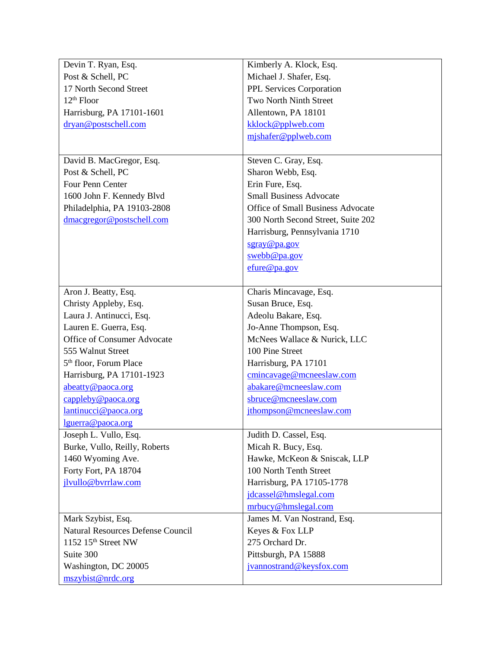| Devin T. Ryan, Esq.                      | Kimberly A. Klock, Esq.                  |
|------------------------------------------|------------------------------------------|
| Post & Schell, PC                        | Michael J. Shafer, Esq.                  |
| 17 North Second Street                   | PPL Services Corporation                 |
| $12th$ Floor                             | Two North Ninth Street                   |
| Harrisburg, PA 17101-1601                | Allentown, PA 18101                      |
| dryan@postschell.com                     | kklock@pplweb.com                        |
|                                          | mjshafer@pplweb.com                      |
|                                          |                                          |
| David B. MacGregor, Esq.                 | Steven C. Gray, Esq.                     |
| Post & Schell, PC                        | Sharon Webb, Esq.                        |
| Four Penn Center                         | Erin Fure, Esq.                          |
| 1600 John F. Kennedy Blvd                | <b>Small Business Advocate</b>           |
| Philadelphia, PA 19103-2808              | <b>Office of Small Business Advocate</b> |
| dmacgregor@postschell.com                | 300 North Second Street, Suite 202       |
|                                          | Harrisburg, Pennsylvania 1710            |
|                                          | sgray@pa.gov                             |
|                                          | swebb@pa.gov                             |
|                                          | $e$ fure@pa.gov                          |
|                                          |                                          |
| Aron J. Beatty, Esq.                     | Charis Mincavage, Esq.                   |
| Christy Appleby, Esq.                    | Susan Bruce, Esq.                        |
| Laura J. Antinucci, Esq.                 | Adeolu Bakare, Esq.                      |
| Lauren E. Guerra, Esq.                   | Jo-Anne Thompson, Esq.                   |
| Office of Consumer Advocate              | McNees Wallace & Nurick, LLC             |
| 555 Walnut Street                        | 100 Pine Street                          |
| 5 <sup>th</sup> floor, Forum Place       | Harrisburg, PA 17101                     |
| Harrisburg, PA 17101-1923                | cmincavage@mcneeslaw.com                 |
| abeatty@paoca.org                        | abakare@mcneeslaw.com                    |
| $\text{capleby}\& \text{paoca.org}$      | sbruce@mcneeslaw.com                     |
| lantinucci@paoca.org                     | jthompson@mcneeslaw.com                  |
| lguerra@paoca.org                        |                                          |
| Joseph L. Vullo, Esq.                    | Judith D. Cassel, Esq.                   |
| Burke, Vullo, Reilly, Roberts            | Micah R. Bucy, Esq.                      |
| 1460 Wyoming Ave.                        | Hawke, McKeon & Sniscak, LLP             |
| Forty Fort, PA 18704                     | 100 North Tenth Street                   |
| jlvullo@bvrrlaw.com                      | Harrisburg, PA 17105-1778                |
|                                          | jdcassel@hmslegal.com                    |
|                                          | mrbucy@hmslegal.com                      |
| Mark Szybist, Esq.                       | James M. Van Nostrand, Esq.              |
| <b>Natural Resources Defense Council</b> | Keyes & Fox LLP                          |
| 1152 15 <sup>th</sup> Street NW          | 275 Orchard Dr.                          |
| Suite 300                                | Pittsburgh, PA 15888                     |
| Washington, DC 20005                     | jvannostrand@keysfox.com                 |
| mszybist@nrdc.org                        |                                          |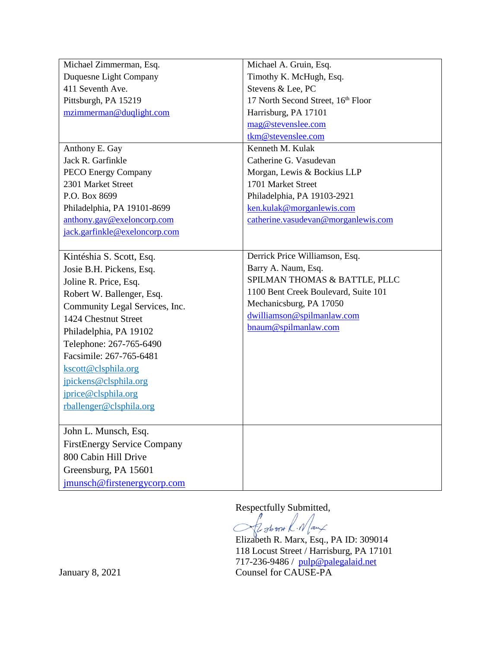| Michael Zimmerman, Esq.            | Michael A. Gruin, Esq.               |
|------------------------------------|--------------------------------------|
| Duquesne Light Company             | Timothy K. McHugh, Esq.              |
| 411 Seventh Ave.                   | Stevens & Lee, PC                    |
| Pittsburgh, PA 15219               | 17 North Second Street, 16th Floor   |
| mzimmerman@duqlight.com            | Harrisburg, PA 17101                 |
|                                    | mag@stevenslee.com                   |
|                                    | tkm@stevenslee.com                   |
| Anthony E. Gay                     | Kenneth M. Kulak                     |
| Jack R. Garfinkle                  | Catherine G. Vasudevan               |
| <b>PECO Energy Company</b>         | Morgan, Lewis & Bockius LLP          |
| 2301 Market Street                 | 1701 Market Street                   |
| P.O. Box 8699                      | Philadelphia, PA 19103-2921          |
| Philadelphia, PA 19101-8699        | ken.kulak@morganlewis.com            |
| anthony.gay@exeloncorp.com         | catherine.vasudevan@morganlewis.com  |
| jack.garfinkle@exeloncorp.com      |                                      |
|                                    |                                      |
| Kintéshia S. Scott, Esq.           | Derrick Price Williamson, Esq.       |
| Josie B.H. Pickens, Esq.           | Barry A. Naum, Esq.                  |
| Joline R. Price, Esq.              | SPILMAN THOMAS & BATTLE, PLLC        |
| Robert W. Ballenger, Esq.          | 1100 Bent Creek Boulevard, Suite 101 |
| Community Legal Services, Inc.     | Mechanicsburg, PA 17050              |
| 1424 Chestnut Street               | dwilliamson@spilmanlaw.com           |
| Philadelphia, PA 19102             | bnaum@spilmanlaw.com                 |
| Telephone: 267-765-6490            |                                      |
| Facsimile: 267-765-6481            |                                      |
| kscott@clsphila.org                |                                      |
| jpickens@clsphila.org              |                                      |
| jprice@clsphila.org                |                                      |
| rballenger@clsphila.org            |                                      |
|                                    |                                      |
| John L. Munsch, Esq.               |                                      |
| <b>FirstEnergy Service Company</b> |                                      |
| 800 Cabin Hill Drive               |                                      |
| Greensburg, PA 15601               |                                      |
|                                    |                                      |
| jmunsch@firstenergycorp.com        |                                      |

Respectfully Submitted,

 $\subset$ 

Elizabeth R. Marx, Esq., PA ID: 309014 118 Locust Street / Harrisburg, PA 17101 717-236-9486 / <mark>pulp@palegalaid.net</mark> January 8, 2021 Counsel for CAUSE-PA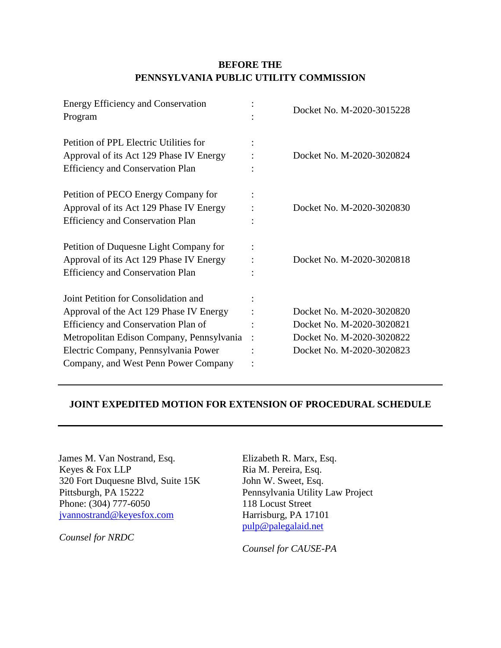## **BEFORE THE PENNSYLVANIA PUBLIC UTILITY COMMISSION**

| <b>Energy Efficiency and Conservation</b><br>Program                                                                                                                                                                                                |         | Docket No. M-2020-3015228                                                                                        |
|-----------------------------------------------------------------------------------------------------------------------------------------------------------------------------------------------------------------------------------------------------|---------|------------------------------------------------------------------------------------------------------------------|
| Petition of PPL Electric Utilities for<br>Approval of its Act 129 Phase IV Energy<br><b>Efficiency and Conservation Plan</b>                                                                                                                        |         | Docket No. M-2020-3020824                                                                                        |
| Petition of PECO Energy Company for<br>Approval of its Act 129 Phase IV Energy<br><b>Efficiency and Conservation Plan</b>                                                                                                                           |         | Docket No. M-2020-3020830                                                                                        |
| Petition of Duquesne Light Company for<br>Approval of its Act 129 Phase IV Energy<br><b>Efficiency and Conservation Plan</b>                                                                                                                        |         | Docket No. M-2020-3020818                                                                                        |
| Joint Petition for Consolidation and<br>Approval of the Act 129 Phase IV Energy<br>Efficiency and Conservation Plan of<br>Metropolitan Edison Company, Pennsylvania<br>Electric Company, Pennsylvania Power<br>Company, and West Penn Power Company | $\cdot$ | Docket No. M-2020-3020820<br>Docket No. M-2020-3020821<br>Docket No. M-2020-3020822<br>Docket No. M-2020-3020823 |

### **JOINT EXPEDITED MOTION FOR EXTENSION OF PROCEDURAL SCHEDULE**

James M. Van Nostrand, Esq. Keyes & Fox LLP 320 Fort Duquesne Blvd, Suite 15K Pittsburgh, PA 15222 Phone: (304) 777-6050 [jvannostrand@keyesfox.com](mailto:jvannostrand@keyesfox.com)

*Counsel for NRDC*

Elizabeth R. Marx, Esq. Ria M. Pereira, Esq. John W. Sweet, Esq. Pennsylvania Utility Law Project 118 Locust Street Harrisburg, PA 17101 [pulp@palegalaid.net](mailto:pulp@palegalaid.net)

*Counsel for CAUSE-PA*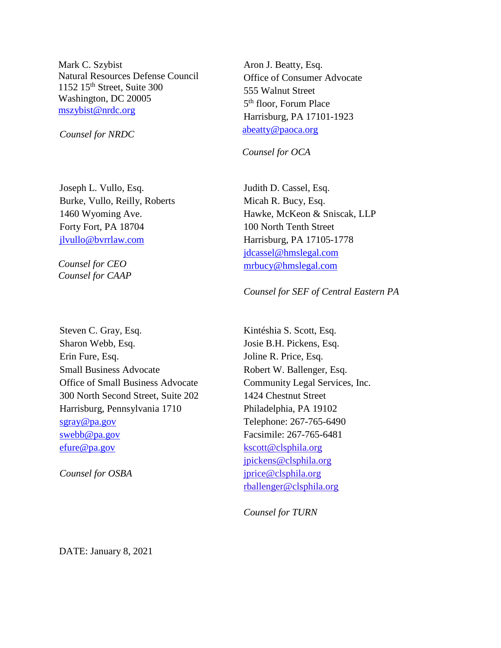Mark C. Szybist Natural Resources Defense Council 1152 15th Street, Suite 300 Washington, DC 20005 [mszybist@nrdc.org](mailto:mszybist@nrdc.org)

*Counsel for NRDC*

Joseph L. Vullo, Esq. Burke, Vullo, Reilly, Roberts 1460 Wyoming Ave. Forty Fort, PA 18704 [jlvullo@bvrrlaw.com](mailto:jlvullo@bvrrlaw.com)

*Counsel for CEO Counsel for CAAP*

Steven C. Gray, Esq. Sharon Webb, Esq. Erin Fure, Esq. Small Business Advocate Office of Small Business Advocate 300 North Second Street, Suite 202 Harrisburg, Pennsylvania 1710 [sgray@pa.gov](mailto:sgray@pa.gov) [swebb@pa.gov](mailto:swebb@pa.gov) [efure@pa.gov](mailto:efure@pa.gov)

*Counsel for OSBA*

Aron J. Beatty, Esq. Office of Consumer Advocate 555 Walnut Street 5th floor, Forum Place Harrisburg, PA 17101-1923 [abeatty@paoca.org](mailto:abeatty@paoca.org)

*Counsel for OCA*

Judith D. Cassel, Esq. Micah R. Bucy, Esq. Hawke, McKeon & Sniscak, LLP 100 North Tenth Street Harrisburg, PA 17105-1778 [jdcassel@hmslegal.com](mailto:jdcassel@hmslegal.com) [mrbucy@hmslegal.com](mailto:mrbucy@hmslegal.com)

#### *Counsel for SEF of Central Eastern PA*

Kintéshia S. Scott, Esq. Josie B.H. Pickens, Esq. Joline R. Price, Esq. Robert W. Ballenger, Esq. Community Legal Services, Inc. 1424 Chestnut Street Philadelphia, PA 19102 Telephone: 267-765-6490 Facsimile: 267-765-6481 [kscott@clsphila.org](mailto:kscott@clsphila.org) [jpickens@clsphila.org](mailto:jpickens@clsphila.org) [jprice@clsphila.org](mailto:jprice@clsphila.org) [rballenger@clsphila.org](mailto:rballenger@clsphila.org)

*Counsel for TURN*

DATE: January 8, 2021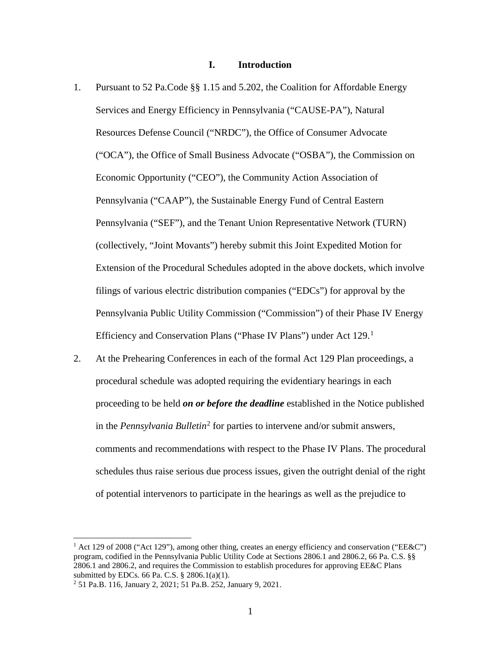#### **I. Introduction**

- 1. Pursuant to 52 Pa.Code §§ 1.15 and 5.202, the Coalition for Affordable Energy Services and Energy Efficiency in Pennsylvania ("CAUSE-PA"), Natural Resources Defense Council ("NRDC"), the Office of Consumer Advocate ("OCA"), the Office of Small Business Advocate ("OSBA"), the Commission on Economic Opportunity ("CEO"), the Community Action Association of Pennsylvania ("CAAP"), the Sustainable Energy Fund of Central Eastern Pennsylvania ("SEF"), and the Tenant Union Representative Network (TURN) (collectively, "Joint Movants") hereby submit this Joint Expedited Motion for Extension of the Procedural Schedules adopted in the above dockets, which involve filings of various electric distribution companies ("EDCs") for approval by the Pennsylvania Public Utility Commission ("Commission") of their Phase IV Energy Efficiency and Conservation Plans ("Phase IV Plans") under Act [1](#page-7-0)29.<sup>1</sup>
- 2. At the Prehearing Conferences in each of the formal Act 129 Plan proceedings, a procedural schedule was adopted requiring the evidentiary hearings in each proceeding to be held *on or before the deadline* established in the Notice published in the *Pennsylvania Bulletin*[2](#page-7-1) for parties to intervene and/or submit answers, comments and recommendations with respect to the Phase IV Plans. The procedural schedules thus raise serious due process issues, given the outright denial of the right of potential intervenors to participate in the hearings as well as the prejudice to

 $\ddot{\phantom{a}}$ 

<span id="page-7-0"></span><sup>&</sup>lt;sup>1</sup> Act 129 of 2008 ("Act 129"), among other thing, creates an energy efficiency and conservation ("EE&C") program, codified in the Pennsylvania Public Utility Code at Sections 2806.1 and 2806.2, 66 Pa. C.S. §§ 2806.1 and 2806.2, and requires the Commission to establish procedures for approving EE&C Plans submitted by EDCs. 66 Pa. C.S. § 2806.1(a)(1).

<span id="page-7-1"></span><sup>2</sup> 51 Pa.B. 116, January 2, 2021; 51 Pa.B. 252, January 9, 2021.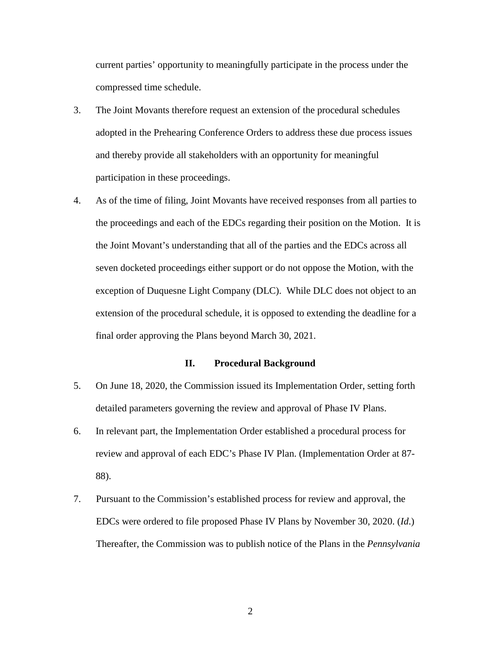current parties' opportunity to meaningfully participate in the process under the compressed time schedule.

- 3. The Joint Movants therefore request an extension of the procedural schedules adopted in the Prehearing Conference Orders to address these due process issues and thereby provide all stakeholders with an opportunity for meaningful participation in these proceedings.
- 4. As of the time of filing, Joint Movants have received responses from all parties to the proceedings and each of the EDCs regarding their position on the Motion. It is the Joint Movant's understanding that all of the parties and the EDCs across all seven docketed proceedings either support or do not oppose the Motion, with the exception of Duquesne Light Company (DLC). While DLC does not object to an extension of the procedural schedule, it is opposed to extending the deadline for a final order approving the Plans beyond March 30, 2021.

#### **II. Procedural Background**

- 5. On June 18, 2020, the Commission issued its Implementation Order, setting forth detailed parameters governing the review and approval of Phase IV Plans.
- 6. In relevant part, the Implementation Order established a procedural process for review and approval of each EDC's Phase IV Plan. (Implementation Order at 87- 88).
- 7. Pursuant to the Commission's established process for review and approval, the EDCs were ordered to file proposed Phase IV Plans by November 30, 2020. (*Id*.) Thereafter, the Commission was to publish notice of the Plans in the *Pennsylvania*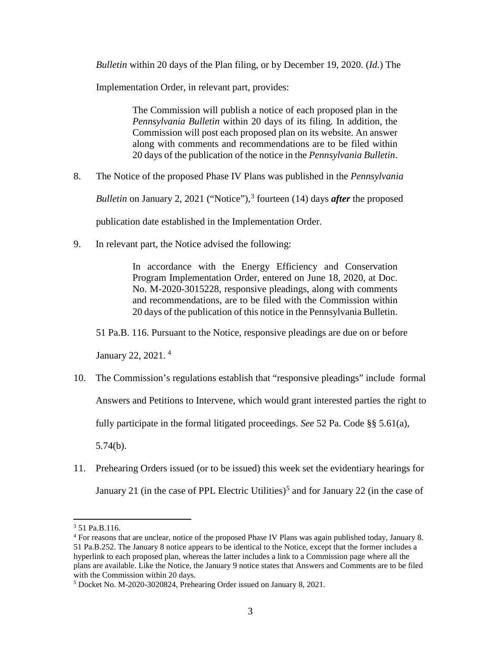*Bulletin* within 20 days of the Plan filing, or by December 19, 2020. (*Id*.) The

Implementation Order, in relevant part, provides:

The Commission will publish a notice of each proposed plan in the *Pennsylvania Bulletin* within 20 days of its filing. In addition, the Commission will post each proposed plan on its website. An answer along with comments and recommendations are to be filed within 20 days of the publication of the notice in the *Pennsylvania Bulletin*.

8. The Notice of the proposed Phase IV Plans was published in the *Pennsylvania* 

*Bulletin* on January 2, 2021 ("Notice"), [3](#page-9-0) fourteen (14) days *after* the proposed

publication date established in the Implementation Order.

9. In relevant part, the Notice advised the following:

In accordance with the Energy Efficiency and Conservation Program Implementation Order, entered on June 18, 2020, at Doc. No. M-2020-3015228, responsive pleadings, along with comments and recommendations, are to be filed with the Commission within 20 days of the publication of this notice in the Pennsylvania Bulletin.

51 Pa.B. 116. Pursuant to the Notice, responsive pleadings are due on or before

January 22, 2021. [4](#page-9-1)

- 10. The Commission's regulations establish that "responsive pleadings" include formal Answers and Petitions to Intervene, which would grant interested parties the right to fully participate in the formal litigated proceedings. *See* 52 Pa. Code §§ 5.61(a), 5.74(b).
- 11. Prehearing Orders issued (or to be issued) this week set the evidentiary hearings for January 21 (in the case of PPL Electric Utilities)<sup>[5](#page-9-2)</sup> and for January 22 (in the case of

 $\ddot{\phantom{a}}$ 

<span id="page-9-0"></span><sup>3</sup> 51 Pa.B.116.

<span id="page-9-1"></span><sup>4</sup> For reasons that are unclear, notice of the proposed Phase IV Plans was again published today, January 8. 51 Pa.B.252. The January 8 notice appears to be identical to the Notice, except that the former includes a hyperlink to each proposed plan, whereas the latter includes a link to a Commission page where all the plans are available. Like the Notice, the January 9 notice states that Answers and Comments are to be filed with the Commission within 20 days.

<span id="page-9-2"></span><sup>5</sup> Docket No. M-2020-3020824, Prehearing Order issued on January 8, 2021.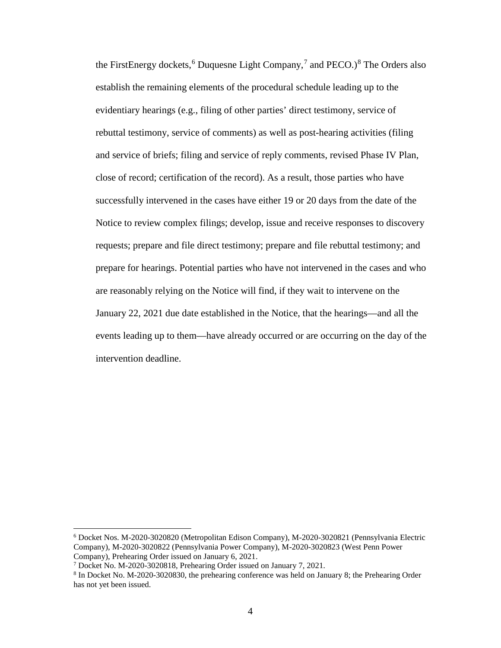the FirstEnergy dockets,  $6$  Duquesne Light Company,  $7$  and PECO.) $8$  The Orders also establish the remaining elements of the procedural schedule leading up to the evidentiary hearings (e.g., filing of other parties' direct testimony, service of rebuttal testimony, service of comments) as well as post-hearing activities (filing and service of briefs; filing and service of reply comments, revised Phase IV Plan, close of record; certification of the record). As a result, those parties who have successfully intervened in the cases have either 19 or 20 days from the date of the Notice to review complex filings; develop, issue and receive responses to discovery requests; prepare and file direct testimony; prepare and file rebuttal testimony; and prepare for hearings. Potential parties who have not intervened in the cases and who are reasonably relying on the Notice will find, if they wait to intervene on the January 22, 2021 due date established in the Notice, that the hearings—and all the events leading up to them—have already occurred or are occurring on the day of the intervention deadline.

 $\overline{a}$ 

<span id="page-10-0"></span><sup>6</sup> Docket Nos. M-2020-3020820 (Metropolitan Edison Company), M-2020-3020821 (Pennsylvania Electric Company), M-2020-3020822 (Pennsylvania Power Company), M-2020-3020823 (West Penn Power Company), Prehearing Order issued on January 6, 2021.

<span id="page-10-1"></span><sup>7</sup> Docket No. M-2020-3020818, Prehearing Order issued on January 7, 2021.

<span id="page-10-2"></span><sup>8</sup> In Docket No. M-2020-3020830, the prehearing conference was held on January 8; the Prehearing Order has not yet been issued.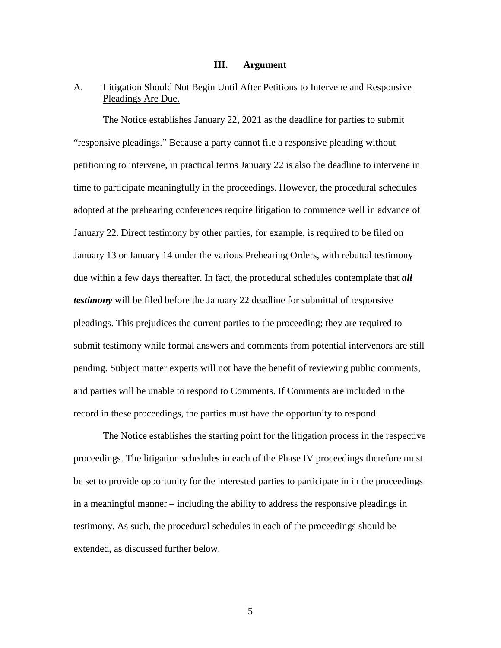#### **III. Argument**

## A. Litigation Should Not Begin Until After Petitions to Intervene and Responsive Pleadings Are Due.

The Notice establishes January 22, 2021 as the deadline for parties to submit "responsive pleadings." Because a party cannot file a responsive pleading without petitioning to intervene, in practical terms January 22 is also the deadline to intervene in time to participate meaningfully in the proceedings. However, the procedural schedules adopted at the prehearing conferences require litigation to commence well in advance of January 22. Direct testimony by other parties, for example, is required to be filed on January 13 or January 14 under the various Prehearing Orders, with rebuttal testimony due within a few days thereafter. In fact, the procedural schedules contemplate that *all testimony* will be filed before the January 22 deadline for submittal of responsive pleadings. This prejudices the current parties to the proceeding; they are required to submit testimony while formal answers and comments from potential intervenors are still pending. Subject matter experts will not have the benefit of reviewing public comments, and parties will be unable to respond to Comments. If Comments are included in the record in these proceedings, the parties must have the opportunity to respond.

The Notice establishes the starting point for the litigation process in the respective proceedings. The litigation schedules in each of the Phase IV proceedings therefore must be set to provide opportunity for the interested parties to participate in in the proceedings in a meaningful manner – including the ability to address the responsive pleadings in testimony. As such, the procedural schedules in each of the proceedings should be extended, as discussed further below.

5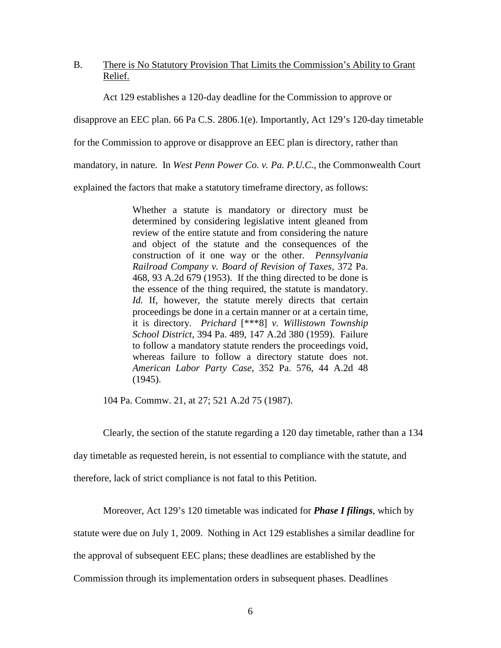### B. There is No Statutory Provision That Limits the Commission's Ability to Grant Relief.

Act 129 establishes a 120-day deadline for the Commission to approve or

disapprove an EEC plan. 66 Pa C.S. 2806.1(e). Importantly, Act 129's 120-day timetable

for the Commission to approve or disapprove an EEC plan is directory, rather than

mandatory, in nature. In *West Penn Power Co. v. Pa. P.U.C.*, the Commonwealth Court

explained the factors that make a statutory timeframe directory, as follows:

Whether a statute is mandatory or directory must be determined by considering legislative intent gleaned from review of the entire statute and from considering the nature and object of the statute and the consequences of the construction of it one way or the other. *Pennsylvania Railroad Company v. Board of Revision of Taxes,* 372 Pa. 468, 93 A.2d 679 (1953). If the thing directed to be done is the essence of the thing required, the statute is mandatory. *Id.* If, however, the statute merely directs that certain proceedings be done in a certain manner or at a certain time, it is directory. *Prichard* [\*\*\*8] *v. Willistown Township School District*, 394 Pa. 489, 147 A.2d 380 (1959). Failure to follow a mandatory statute renders the proceedings void, whereas failure to follow a directory statute does not. *American Labor Party Case*, 352 Pa. 576, 44 A.2d 48 (1945).

104 Pa. Commw. 21, at 27; 521 A.2d 75 (1987).

Clearly, the section of the statute regarding a 120 day timetable, rather than a 134

day timetable as requested herein, is not essential to compliance with the statute, and

therefore, lack of strict compliance is not fatal to this Petition.

Moreover, Act 129's 120 timetable was indicated for *Phase I filings*, which by

statute were due on July 1, 2009. Nothing in Act 129 establishes a similar deadline for

the approval of subsequent EEC plans; these deadlines are established by the

Commission through its implementation orders in subsequent phases. Deadlines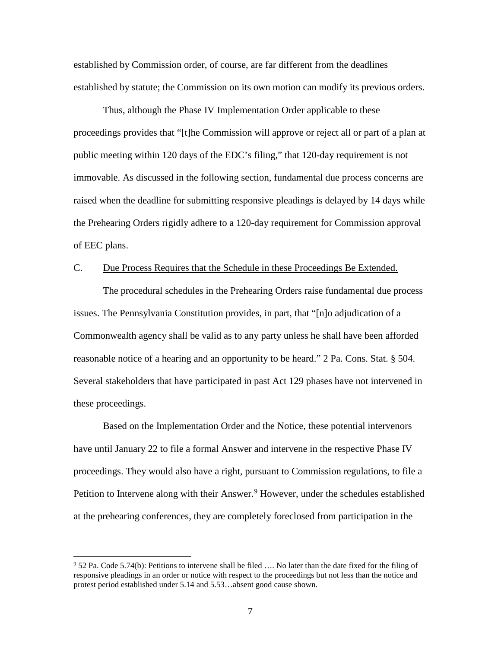established by Commission order, of course, are far different from the deadlines established by statute; the Commission on its own motion can modify its previous orders.

Thus, although the Phase IV Implementation Order applicable to these proceedings provides that "[t]he Commission will approve or reject all or part of a plan at public meeting within 120 days of the EDC's filing," that 120-day requirement is not immovable. As discussed in the following section, fundamental due process concerns are raised when the deadline for submitting responsive pleadings is delayed by 14 days while the Prehearing Orders rigidly adhere to a 120-day requirement for Commission approval of EEC plans.

### C. Due Process Requires that the Schedule in these Proceedings Be Extended.

The procedural schedules in the Prehearing Orders raise fundamental due process issues. The Pennsylvania Constitution provides, in part, that "[n]o adjudication of a Commonwealth agency shall be valid as to any party unless he shall have been afforded reasonable notice of a hearing and an opportunity to be heard." 2 Pa. Cons. Stat. § 504. Several stakeholders that have participated in past Act 129 phases have not intervened in these proceedings.

Based on the Implementation Order and the Notice, these potential intervenors have until January 22 to file a formal Answer and intervene in the respective Phase IV proceedings. They would also have a right, pursuant to Commission regulations, to file a Petition to Intervene along with their Answer.<sup>[9](#page-13-0)</sup> However, under the schedules established at the prehearing conferences, they are completely foreclosed from participation in the

 $\overline{a}$ 

<span id="page-13-0"></span><sup>9</sup> 52 Pa. Code 5.74(b): Petitions to intervene shall be filed …. No later than the date fixed for the filing of responsive pleadings in an order or notice with respect to the proceedings but not less than the notice and protest period established under 5.14 and 5.53…absent good cause shown.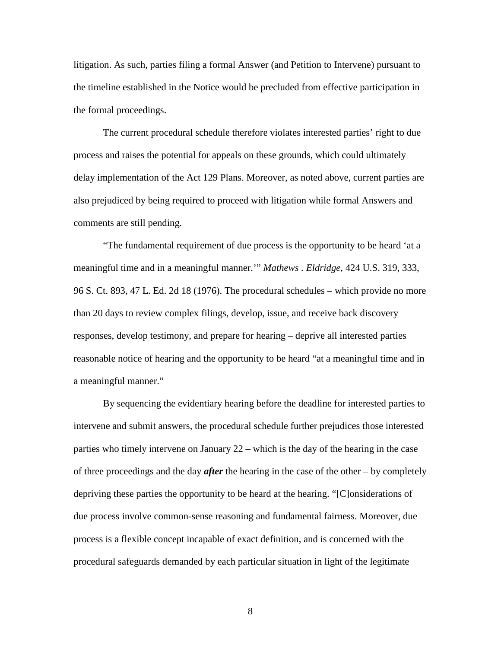litigation. As such, parties filing a formal Answer (and Petition to Intervene) pursuant to the timeline established in the Notice would be precluded from effective participation in the formal proceedings.

The current procedural schedule therefore violates interested parties' right to due process and raises the potential for appeals on these grounds, which could ultimately delay implementation of the Act 129 Plans. Moreover, as noted above, current parties are also prejudiced by being required to proceed with litigation while formal Answers and comments are still pending.

"The fundamental requirement of due process is the opportunity to be heard 'at a meaningful time and in a meaningful manner.'" *Mathews . Eldridge*, 424 U.S. 319, 333, 96 S. Ct. 893, 47 L. Ed. 2d 18 (1976). The procedural schedules – which provide no more than 20 days to review complex filings, develop, issue, and receive back discovery responses, develop testimony, and prepare for hearing – deprive all interested parties reasonable notice of hearing and the opportunity to be heard "at a meaningful time and in a meaningful manner."

By sequencing the evidentiary hearing before the deadline for interested parties to intervene and submit answers, the procedural schedule further prejudices those interested parties who timely intervene on January 22 – which is the day of the hearing in the case of three proceedings and the day *after* the hearing in the case of the other – by completely depriving these parties the opportunity to be heard at the hearing. "[C]onsiderations of due process involve common-sense reasoning and fundamental fairness. Moreover, due process is a flexible concept incapable of exact definition, and is concerned with the procedural safeguards demanded by each particular situation in light of the legitimate

8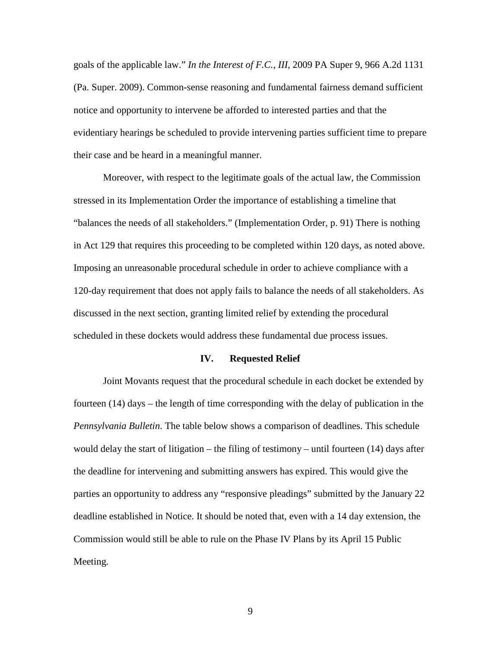goals of the applicable law." *In the Interest of F.C., III*, 2009 PA Super 9, 966 A.2d 1131 (Pa. Super. 2009). Common-sense reasoning and fundamental fairness demand sufficient notice and opportunity to intervene be afforded to interested parties and that the evidentiary hearings be scheduled to provide intervening parties sufficient time to prepare their case and be heard in a meaningful manner.

Moreover, with respect to the legitimate goals of the actual law, the Commission stressed in its Implementation Order the importance of establishing a timeline that "balances the needs of all stakeholders." (Implementation Order, p. 91) There is nothing in Act 129 that requires this proceeding to be completed within 120 days, as noted above. Imposing an unreasonable procedural schedule in order to achieve compliance with a 120-day requirement that does not apply fails to balance the needs of all stakeholders. As discussed in the next section, granting limited relief by extending the procedural scheduled in these dockets would address these fundamental due process issues.

#### **IV. Requested Relief**

Joint Movants request that the procedural schedule in each docket be extended by fourteen (14) days – the length of time corresponding with the delay of publication in the *Pennsylvania Bulletin*. The table below shows a comparison of deadlines. This schedule would delay the start of litigation – the filing of testimony – until fourteen (14) days after the deadline for intervening and submitting answers has expired. This would give the parties an opportunity to address any "responsive pleadings" submitted by the January 22 deadline established in Notice. It should be noted that, even with a 14 day extension, the Commission would still be able to rule on the Phase IV Plans by its April 15 Public Meeting.

9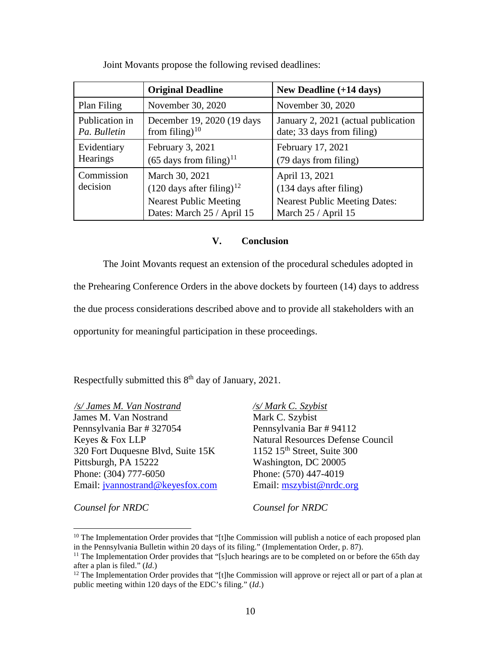|                                | <b>Original Deadline</b>                                                                                                | New Deadline $(+14 \text{ days})$                                                                        |
|--------------------------------|-------------------------------------------------------------------------------------------------------------------------|----------------------------------------------------------------------------------------------------------|
| Plan Filing                    | November 30, 2020                                                                                                       | November 30, 2020                                                                                        |
| Publication in<br>Pa. Bulletin | December 19, 2020 (19 days<br>from filing) $10$                                                                         | January 2, 2021 (actual publication<br>date; 33 days from filing)                                        |
| Evidentiary<br>Hearings        | February 3, 2021<br>$(65 \text{ days from filing})^{11}$                                                                | February 17, 2021<br>(79 days from filing)                                                               |
| Commission<br>decision         | March 30, 2021<br>$(120 \text{ days after filing})^{12}$<br><b>Nearest Public Meeting</b><br>Dates: March 25 / April 15 | April 13, 2021<br>(134 days after filing)<br><b>Nearest Public Meeting Dates:</b><br>March 25 / April 15 |

Joint Movants propose the following revised deadlines:

### **V. Conclusion**

The Joint Movants request an extension of the procedural schedules adopted in the Prehearing Conference Orders in the above dockets by fourteen (14) days to address the due process considerations described above and to provide all stakeholders with an opportunity for meaningful participation in these proceedings.

Respectfully submitted this 8<sup>th</sup> day of January, 2021.

*/s/ James M. Van Nostrand* James M. Van Nostrand Pennsylvania Bar # 327054 Keyes & Fox LLP 320 Fort Duquesne Blvd, Suite 15K Pittsburgh, PA 15222 Phone: (304) 777-6050 Email: [jvannostrand@keyesfox.com](mailto:jvannostrand@keyesfox.com) */s/ Mark C. Szybist* Mark C. Szybist Pennsylvania Bar # 94112 Natural Resources Defense Council  $1152$  15<sup>th</sup> Street, Suite 300 Washington, DC 20005 Phone: (570) 447-4019 Email: [mszybist@nrdc.org](mailto:mszybist@nrdc.org)

*Counsel for NRDC*

 $\overline{a}$ 

*Counsel for NRDC*

<span id="page-16-0"></span> $10$  The Implementation Order provides that "[t]he Commission will publish a notice of each proposed plan in the Pennsylvania Bulletin within 20 days of its filing." (Implementation Order, p. 87).<br><sup>11</sup> The Implementation Order provides that "[s]uch hearings are to be completed on or before the 65th day

<span id="page-16-1"></span>after a plan is filed." (*Id*.)

<span id="page-16-2"></span><sup>&</sup>lt;sup>12</sup> The Implementation Order provides that "[t]he Commission will approve or reject all or part of a plan at public meeting within 120 days of the EDC's filing." (*Id*.)